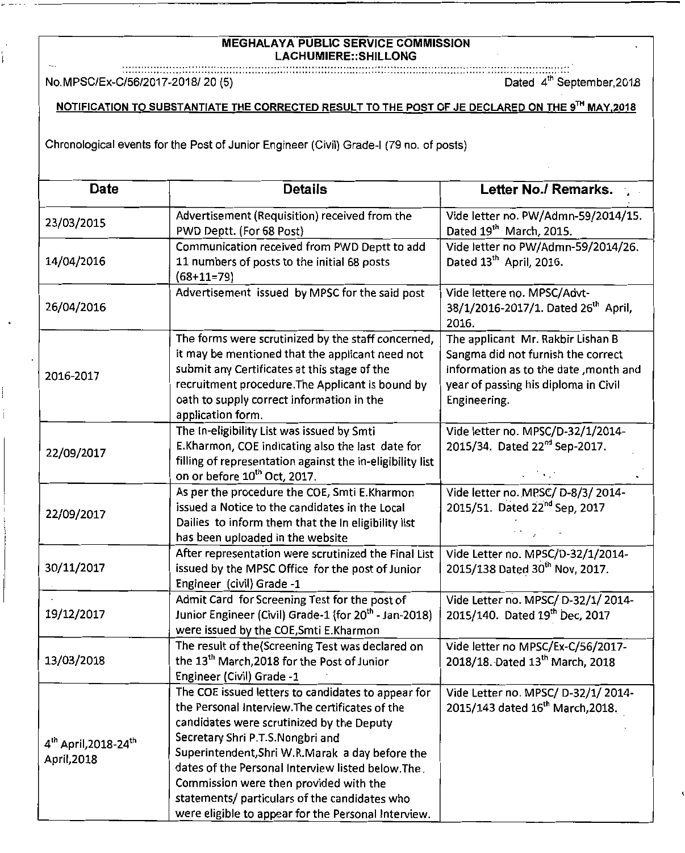## MEGHALAYA PUBLIC SERVICE COMMISSION LACHUMIERE::SHILLONG

## NOTIFICATION TO SUBSTANTIATE THE CORRECTED RESULT TO THE POST OF JE DECLARED ON THE 9TH MAY, 2018

| <b>MEGHALAYA PUBLIC SERVICE COMMISSION</b><br>LACHUMIERE::SHILLONG                                |                                                                                                                                                                                                                                                                                                                                                                                                                                                  |                                                                                                                                                                          |  |
|---------------------------------------------------------------------------------------------------|--------------------------------------------------------------------------------------------------------------------------------------------------------------------------------------------------------------------------------------------------------------------------------------------------------------------------------------------------------------------------------------------------------------------------------------------------|--------------------------------------------------------------------------------------------------------------------------------------------------------------------------|--|
| No.MPSC/Ex-C/56/2017-2018/20(5)                                                                   |                                                                                                                                                                                                                                                                                                                                                                                                                                                  | Dated 4 <sup>th</sup> September, 2018                                                                                                                                    |  |
| NOTIFICATION TO SUBSTANTIATE THE CORRECTED RESULT TO THE POST OF JE DECLARED ON THE 9TH MAY, 2018 |                                                                                                                                                                                                                                                                                                                                                                                                                                                  |                                                                                                                                                                          |  |
| Chronological events for the Post of Junior Engineer (Civil) Grade-I (79 no. of posts)            |                                                                                                                                                                                                                                                                                                                                                                                                                                                  |                                                                                                                                                                          |  |
| <b>Date</b>                                                                                       | <b>Details</b>                                                                                                                                                                                                                                                                                                                                                                                                                                   | Letter No./ Remarks.                                                                                                                                                     |  |
| 23/03/2015                                                                                        | Advertisement (Requisition) received from the<br>PWD Deptt. (For 68 Post)                                                                                                                                                                                                                                                                                                                                                                        | Vide letter no. PW/Admn-59/2014/15.<br>Dated 19 <sup>th</sup> March, 2015.                                                                                               |  |
| 14/04/2016                                                                                        | Communication received from PWD Deptt to add<br>11 numbers of posts to the initial 68 posts<br>$(68+11=79)$                                                                                                                                                                                                                                                                                                                                      | Vide letter no PW/Admn-59/2014/26.<br>Dated 13 <sup>th</sup> April, 2016.                                                                                                |  |
| 26/04/2016                                                                                        | Advertisement issued by MPSC for the said post                                                                                                                                                                                                                                                                                                                                                                                                   | Vide lettere no. MPSC/Advt-<br>38/1/2016-2017/1. Dated 26 <sup>th</sup> April,<br>2016.                                                                                  |  |
| 2016-2017                                                                                         | The forms were scrutinized by the staff concerned,<br>it may be mentioned that the applicant need not<br>submit any Certificates at this stage of the<br>recruitment procedure. The Applicant is bound by<br>oath to supply correct information in the<br>application form.                                                                                                                                                                      | The applicant Mr. Rakbir Lishan B<br>Sangma did not furnish the correct<br>information as to the date, month and<br>year of passing his diploma in Civil<br>Engineering. |  |
| 22/09/2017                                                                                        | The In-eligibility List was issued by Smti<br>E.Kharmon, COE indicating also the last date for<br>filling of representation against the in-eligibility list<br>on or before 10 <sup>th</sup> Oct, 2017.                                                                                                                                                                                                                                          | Vide letter no. MPSC/D-32/1/2014-<br>2015/34. Dated 22 <sup>nd</sup> Sep-2017.                                                                                           |  |
| 22/09/2017                                                                                        | As per the procedure the COE, Smti E.Kharmon<br>issued a Notice to the candidates in the Local<br>Dailies to inform them that the In eligibility list<br>has been uploaded in the website                                                                                                                                                                                                                                                        | Vide letter no. MPSC/D-8/3/2014-<br>2015/51. Dated 22nd Sep, 2017                                                                                                        |  |
| 30/11/2017                                                                                        | After representation were scrutinized the Final List<br>issued by the MPSC Office for the post of Junior<br>Engineer (civil) Grade -1                                                                                                                                                                                                                                                                                                            | Vide Letter no. MPSC/D-32/1/2014-<br>2015/138 Dated 30 <sup>th</sup> Nov, 2017.                                                                                          |  |
| 19/12/2017                                                                                        | Admit Card for Screening Test for the post of<br>Junior Engineer (Civil) Grade-1 (for 20 <sup>th</sup> - Jan-2018)<br>were issued by the COE, Smti E. Kharmon                                                                                                                                                                                                                                                                                    | Vide Letter no. MPSC/ D-32/1/2014-<br>2015/140. Dated 19th Dec, 2017                                                                                                     |  |
| 13/03/2018                                                                                        | The result of the (Screening Test was declared on<br>the 13 <sup>th</sup> March, 2018 for the Post of Junior<br>Engineer (Civil) Grade -1                                                                                                                                                                                                                                                                                                        | Vide letter no MPSC/Ex-C/56/2017-<br>2018/18. Dated 13 <sup>th</sup> March, 2018                                                                                         |  |
| 4 <sup>th</sup> April, 2018-24 <sup>th</sup><br>April, 2018                                       | The COE issued letters to candidates to appear for<br>the Personal Interview. The certificates of the<br>candidates were scrutinized by the Deputy<br>Secretary Shri P.T.S.Nongbri and<br>Superintendent, Shri W.R.Marak a day before the<br>dates of the Personal Interview listed below. The<br>Commission were then provided with the<br>statements/ particulars of the candidates who<br>were eligible to appear for the Personal Interview. | Vide Letter no. MPSC/ D-32/1/2014-<br>2015/143 dated 16 <sup>th</sup> March, 2018.                                                                                       |  |